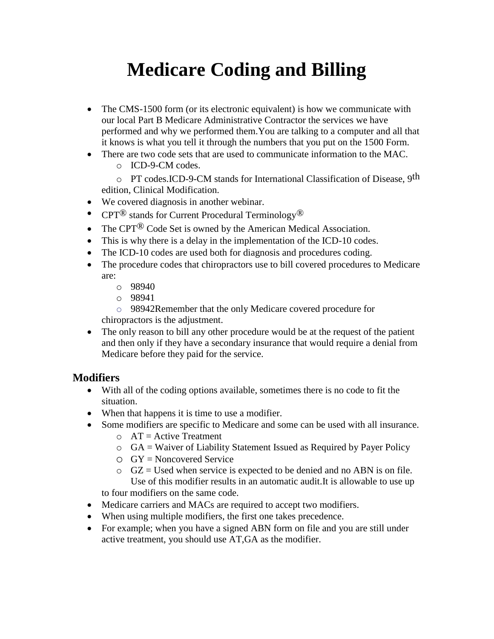# **Medicare Coding and Billing**

- The CMS-1500 form (or its electronic equivalent) is how we communicate with our local Part B Medicare Administrative Contractor the services we have performed and why we performed them.You are talking to a computer and all that it knows is what you tell it through the numbers that you put on the 1500 Form.
- There are two code sets that are used to communicate information to the MAC.
	- o ICD-9-CM codes.

o PT codes.ICD-9-CM stands for International Classification of Disease, 9th edition, Clinical Modification.

- We covered diagnosis in another webinar.
- CPT<sup>®</sup> stands for Current Procedural Terminology<sup>®</sup>
- The CPT $^{\circledR}$  Code Set is owned by the American Medical Association.
- This is why there is a delay in the implementation of the ICD-10 codes.
- The ICD-10 codes are used both for diagnosis and procedures coding.
- The procedure codes that chiropractors use to bill covered procedures to Medicare are:
	- o 98940
	- o 98941

o 98942Remember that the only Medicare covered procedure for chiropractors is the adjustment.

• The only reason to bill any other procedure would be at the request of the patient and then only if they have a secondary insurance that would require a denial from Medicare before they paid for the service.

## **Modifiers**

- With all of the coding options available, sometimes there is no code to fit the situation.
- When that happens it is time to use a modifier.
- Some modifiers are specific to Medicare and some can be used with all insurance.
	- $\circ$  AT = Active Treatment
	- o GA = Waiver of Liability Statement Issued as Required by Payer Policy
	- $O$  GY = Noncovered Service
	- o GZ = Used when service is expected to be denied and no ABN is on file. Use of this modifier results in an automatic audit.It is allowable to use up

to four modifiers on the same code.

- Medicare carriers and MACs are required to accept two modifiers.
- When using multiple modifiers, the first one takes precedence.
- For example; when you have a signed ABN form on file and you are still under active treatment, you should use AT,GA as the modifier.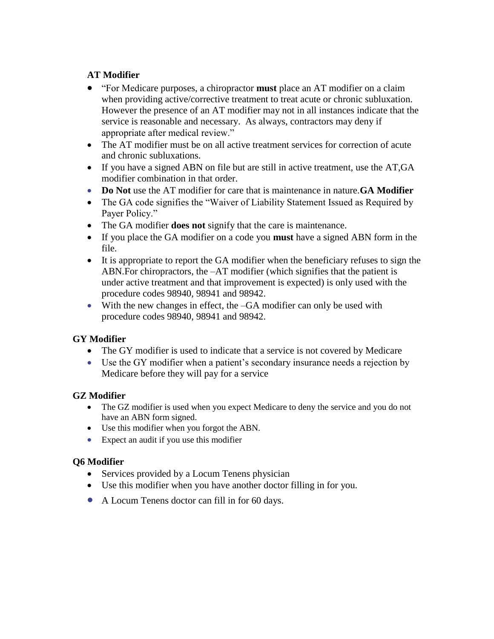### **AT Modifier**

- "For Medicare purposes, a chiropractor **must** place an AT modifier on a claim when providing active/corrective treatment to treat acute or chronic subluxation. However the presence of an AT modifier may not in all instances indicate that the service is reasonable and necessary. As always, contractors may deny if appropriate after medical review."
- The AT modifier must be on all active treatment services for correction of acute and chronic subluxations.
- If you have a signed ABN on file but are still in active treatment, use the AT,GA modifier combination in that order.
- **Do Not** use the AT modifier for care that is maintenance in nature.**GA Modifier**
- The GA code signifies the "Waiver of Liability Statement Issued as Required by Payer Policy."
- The GA modifier **does not** signify that the care is maintenance.
- If you place the GA modifier on a code you **must** have a signed ABN form in the file.
- It is appropriate to report the GA modifier when the beneficiary refuses to sign the ABN.For chiropractors, the –AT modifier (which signifies that the patient is under active treatment and that improvement is expected) is only used with the procedure codes 98940, 98941 and 98942.
- With the new changes in effect, the –GA modifier can only be used with procedure codes 98940, 98941 and 98942.

### **GY Modifier**

- The GY modifier is used to indicate that a service is not covered by Medicare
- Use the GY modifier when a patient's secondary insurance needs a rejection by Medicare before they will pay for a service

### **GZ Modifier**

- The GZ modifier is used when you expect Medicare to deny the service and you do not have an ABN form signed.
- Use this modifier when you forgot the ABN.
- Expect an audit if you use this modifier

### **Q6 Modifier**

- Services provided by a Locum Tenens physician
- Use this modifier when you have another doctor filling in for you.
- A Locum Tenens doctor can fill in for 60 days.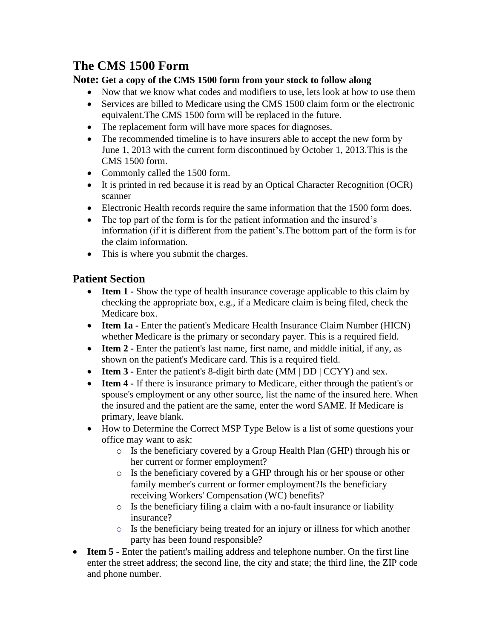# **The CMS 1500 Form**

### **Note: Get a copy of the CMS 1500 form from your stock to follow along**

- Now that we know what codes and modifiers to use, lets look at how to use them
- Services are billed to Medicare using the CMS 1500 claim form or the electronic equivalent.The CMS 1500 form will be replaced in the future.
- The replacement form will have more spaces for diagnoses.
- The recommended timeline is to have insurers able to accept the new form by June 1, 2013 with the current form discontinued by October 1, 2013.This is the CMS 1500 form.
- Commonly called the 1500 form.
- It is printed in red because it is read by an Optical Character Recognition (OCR) scanner
- Electronic Health records require the same information that the 1500 form does.
- The top part of the form is for the patient information and the insured's information (if it is different from the patient's.The bottom part of the form is for the claim information.
- This is where you submit the charges.

# **Patient Section**

- **Item 1** Show the type of health insurance coverage applicable to this claim by checking the appropriate box, e.g., if a Medicare claim is being filed, check the Medicare box.
- **Item 1a -** Enter the patient's Medicare Health Insurance Claim Number (HICN) whether Medicare is the primary or secondary payer. This is a required field.
- **Item 2 -** Enter the patient's last name, first name, and middle initial, if any, as shown on the patient's Medicare card. This is a required field.
- **Item 3** Enter the patient's 8-digit birth date (MM | DD | CCYY) and sex.
- **Item 4 -** If there is insurance primary to Medicare, either through the patient's or spouse's employment or any other source, list the name of the insured here. When the insured and the patient are the same, enter the word SAME. If Medicare is primary, leave blank.
- How to Determine the Correct MSP Type Below is a list of some questions your office may want to ask:
	- o Is the beneficiary covered by a Group Health Plan (GHP) through his or her current or former employment?
	- o Is the beneficiary covered by a GHP through his or her spouse or other family member's current or former employment?Is the beneficiary receiving Workers' Compensation (WC) benefits?
	- o Is the beneficiary filing a claim with a no-fault insurance or liability insurance?
	- o Is the beneficiary being treated for an injury or illness for which another party has been found responsible?
- **Item 5** Enter the patient's mailing address and telephone number. On the first line enter the street address; the second line, the city and state; the third line, the ZIP code and phone number.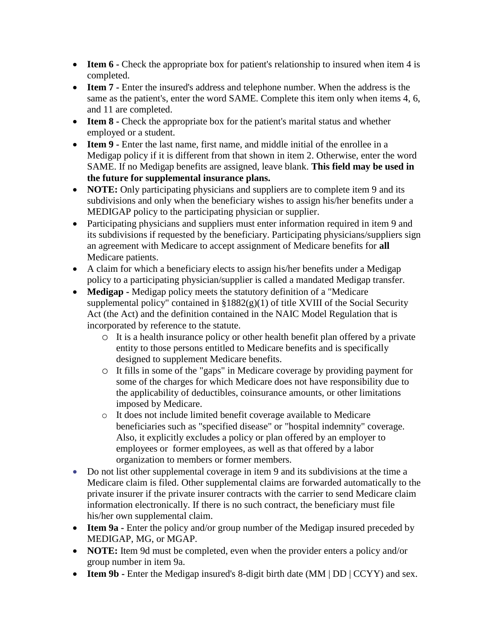- **Item 6** Check the appropriate box for patient's relationship to insured when item 4 is completed.
- **Item 7 -** Enter the insured's address and telephone number. When the address is the same as the patient's, enter the word SAME. Complete this item only when items 4, 6, and 11 are completed.
- **Item 8** Check the appropriate box for the patient's marital status and whether employed or a student.
- **Item 9 -** Enter the last name, first name, and middle initial of the enrollee in a Medigap policy if it is different from that shown in item 2. Otherwise, enter the word SAME. If no Medigap benefits are assigned, leave blank. **This field may be used in the future for supplemental insurance plans.**
- **NOTE:** Only participating physicians and suppliers are to complete item 9 and its subdivisions and only when the beneficiary wishes to assign his/her benefits under a MEDIGAP policy to the participating physician or supplier.
- Participating physicians and suppliers must enter information required in item 9 and its subdivisions if requested by the beneficiary. Participating physicians/suppliers sign an agreement with Medicare to accept assignment of Medicare benefits for **all**  Medicare patients.
- A claim for which a beneficiary elects to assign his/her benefits under a Medigap policy to a participating physician/supplier is called a mandated Medigap transfer.
- **Medigap -** Medigap policy meets the statutory definition of a "Medicare supplemental policy" contained in  $$1882(g)(1)$  of title XVIII of the Social Security Act (the Act) and the definition contained in the NAIC Model Regulation that is incorporated by reference to the statute.
	- o It is a health insurance policy or other health benefit plan offered by a private entity to those persons entitled to Medicare benefits and is specifically designed to supplement Medicare benefits.
	- o It fills in some of the "gaps" in Medicare coverage by providing payment for some of the charges for which Medicare does not have responsibility due to the applicability of deductibles, coinsurance amounts, or other limitations imposed by Medicare.
	- o It does not include limited benefit coverage available to Medicare beneficiaries such as "specified disease" or "hospital indemnity" coverage. Also, it explicitly excludes a policy or plan offered by an employer to employees or former employees, as well as that offered by a labor organization to members or former members.
- Do not list other supplemental coverage in item 9 and its subdivisions at the time a Medicare claim is filed. Other supplemental claims are forwarded automatically to the private insurer if the private insurer contracts with the carrier to send Medicare claim information electronically. If there is no such contract, the beneficiary must file his/her own supplemental claim.
- **Item 9a -** Enter the policy and/or group number of the Medigap insured preceded by MEDIGAP, MG, or MGAP.
- **NOTE:** Item 9d must be completed, even when the provider enters a policy and/or group number in item 9a.
- **Item 9b** Enter the Medigap insured's 8-digit birth date (MM | DD | CCYY) and sex.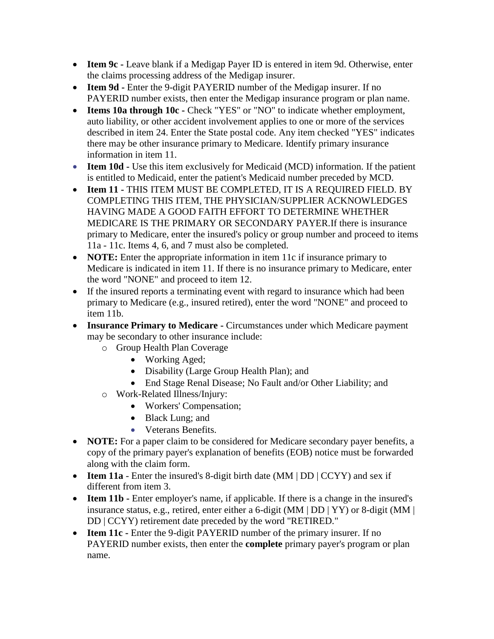- **Item 9c -** Leave blank if a Medigap Payer ID is entered in item 9d. Otherwise, enter the claims processing address of the Medigap insurer.
- **Item 9d -** Enter the 9-digit PAYERID number of the Medigap insurer. If no PAYERID number exists, then enter the Medigap insurance program or plan name.
- **Items 10a through 10c -** Check "YES" or "NO" to indicate whether employment, auto liability, or other accident involvement applies to one or more of the services described in item 24. Enter the State postal code. Any item checked "YES" indicates there may be other insurance primary to Medicare. Identify primary insurance information in item 11.
- **Item 10d -** Use this item exclusively for Medicaid (MCD) information. If the patient is entitled to Medicaid, enter the patient's Medicaid number preceded by MCD.
- **Item 11 -** THIS ITEM MUST BE COMPLETED, IT IS A REQUIRED FIELD. BY COMPLETING THIS ITEM, THE PHYSICIAN/SUPPLIER ACKNOWLEDGES HAVING MADE A GOOD FAITH EFFORT TO DETERMINE WHETHER MEDICARE IS THE PRIMARY OR SECONDARY PAYER.If there is insurance primary to Medicare, enter the insured's policy or group number and proceed to items 11a - 11c. Items 4, 6, and 7 must also be completed.
- **NOTE:** Enter the appropriate information in item 11c if insurance primary to Medicare is indicated in item 11. If there is no insurance primary to Medicare, enter the word "NONE" and proceed to item 12.
- If the insured reports a terminating event with regard to insurance which had been primary to Medicare (e.g., insured retired), enter the word "NONE" and proceed to item 11b.
- **Insurance Primary to Medicare -** Circumstances under which Medicare payment may be secondary to other insurance include:
	- o Group Health Plan Coverage
		- Working Aged;
		- Disability (Large Group Health Plan); and
		- End Stage Renal Disease; No Fault and/or Other Liability; and
	- o Work-Related Illness/Injury:
		- Workers' Compensation;
		- Black Lung; and
		- Veterans Benefits.
- **NOTE:** For a paper claim to be considered for Medicare secondary payer benefits, a copy of the primary payer's explanation of benefits (EOB) notice must be forwarded along with the claim form.
- **Item 11a** Enter the insured's 8-digit birth date (MM | DD | CCYY) and sex if different from item 3.
- **Item 11b** Enter employer's name, if applicable. If there is a change in the insured's insurance status, e.g., retired, enter either a 6-digit (MM | DD | YY) or 8-digit (MM | DD | CCYY) retirement date preceded by the word "RETIRED."
- **Item 11c** Enter the 9-digit PAYERID number of the primary insurer. If no PAYERID number exists, then enter the **complete** primary payer's program or plan name.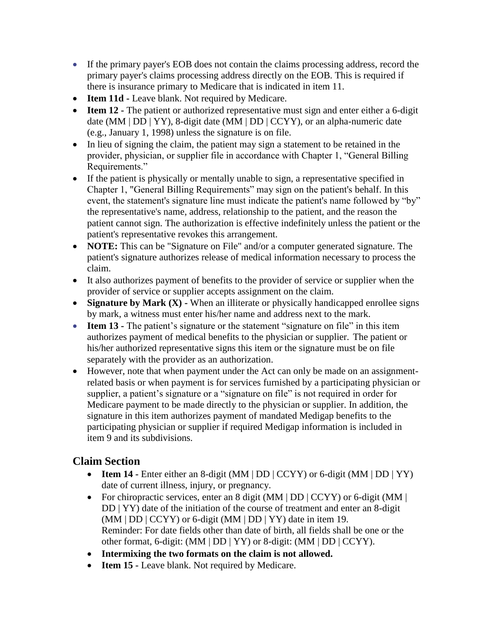- If the primary payer's EOB does not contain the claims processing address, record the primary payer's claims processing address directly on the EOB. This is required if there is insurance primary to Medicare that is indicated in item 11.
- **Item 11d -** Leave blank. Not required by Medicare.
- **Item 12 -** The patient or authorized representative must sign and enter either a 6-digit date (MM | DD | YY), 8-digit date (MM | DD | CCYY), or an alpha-numeric date (e.g., January 1, 1998) unless the signature is on file.
- In lieu of signing the claim, the patient may sign a statement to be retained in the provider, physician, or supplier file in accordance with Chapter 1, "General Billing Requirements."
- If the patient is physically or mentally unable to sign, a representative specified in Chapter 1, "General Billing Requirements" may sign on the patient's behalf. In this event, the statement's signature line must indicate the patient's name followed by "by" the representative's name, address, relationship to the patient, and the reason the patient cannot sign. The authorization is effective indefinitely unless the patient or the patient's representative revokes this arrangement.
- **NOTE:** This can be "Signature on File" and/or a computer generated signature. The patient's signature authorizes release of medical information necessary to process the claim.
- It also authorizes payment of benefits to the provider of service or supplier when the provider of service or supplier accepts assignment on the claim.
- **Signature by Mark (X)** When an illiterate or physically handicapped enrollee signs by mark, a witness must enter his/her name and address next to the mark.
- **Item 13 -** The patient's signature or the statement "signature on file" in this item authorizes payment of medical benefits to the physician or supplier. The patient or his/her authorized representative signs this item or the signature must be on file separately with the provider as an authorization.
- However, note that when payment under the Act can only be made on an assignmentrelated basis or when payment is for services furnished by a participating physician or supplier, a patient's signature or a "signature on file" is not required in order for Medicare payment to be made directly to the physician or supplier. In addition, the signature in this item authorizes payment of mandated Medigap benefits to the participating physician or supplier if required Medigap information is included in item 9 and its subdivisions.

# **Claim Section**

- **Item 14 -** Enter either an 8-digit (MM | DD | CCYY) or 6-digit (MM | DD | YY) date of current illness, injury, or pregnancy.
- For chiropractic services, enter an 8 digit (MM | DD | CCYY) or 6-digit (MM | DD | YY) date of the initiation of the course of treatment and enter an 8-digit  $(MM | DD | CCYY)$  or 6-digit  $(MM | DD | YY)$  date in item 19. Reminder: For date fields other than date of birth, all fields shall be one or the other format, 6-digit: (MM | DD | YY) or 8-digit: (MM | DD | CCYY).
- **Intermixing the two formats on the claim is not allowed.**
- **Item 15 -** Leave blank. Not required by Medicare.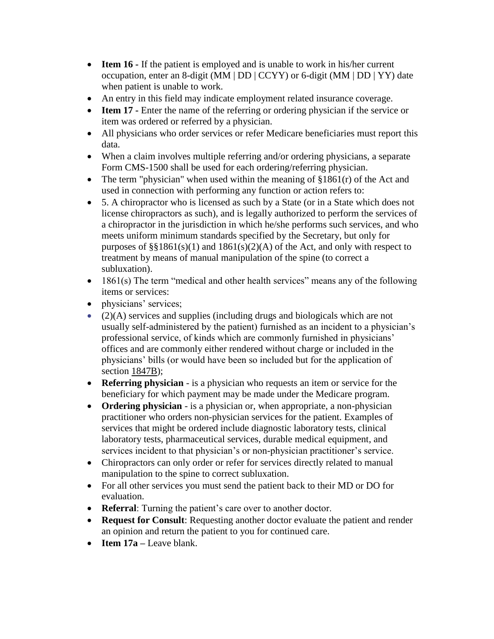- **Item 16 -** If the patient is employed and is unable to work in his/her current occupation, enter an 8-digit (MM | DD | CCYY) or 6-digit (MM | DD | YY) date when patient is unable to work.
- An entry in this field may indicate employment related insurance coverage.
- **Item 17** Enter the name of the referring or ordering physician if the service or item was ordered or referred by a physician.
- All physicians who order services or refer Medicare beneficiaries must report this data.
- When a claim involves multiple referring and/or ordering physicians, a separate Form CMS-1500 shall be used for each ordering/referring physician.
- The term "physician" when used within the meaning of  $\S 1861(r)$  of the Act and used in connection with performing any function or action refers to:
- 5. A chiropractor who is licensed as such by a State (or in a State which does not license chiropractors as such), and is legally authorized to perform the services of a chiropractor in the jurisdiction in which he/she performs such services, and who meets uniform minimum standards specified by the Secretary, but only for purposes of  $\S$ §1861(s)(1) and 1861(s)(2)(A) of the Act, and only with respect to treatment by means of manual manipulation of the spine (to correct a subluxation).
- $\bullet$  1861(s) The term "medical and other health services" means any of the following items or services:
- physicians' services;
- $(2)(A)$  services and supplies (including drugs and biologicals which are not usually self-administered by the patient) furnished as an incident to a physician's professional service, of kinds which are commonly furnished in physicians' offices and are commonly either rendered without charge or included in the physicians' bills (or would have been so included but for the application of section [1847B\)](http://www.ssa.gov/OP_Home/ssact/title18/1847B.htm);
- **Referring physician**  is a physician who requests an item or service for the beneficiary for which payment may be made under the Medicare program.
- **Ordering physician**  is a physician or, when appropriate, a non-physician practitioner who orders non-physician services for the patient. Examples of services that might be ordered include diagnostic laboratory tests, clinical laboratory tests, pharmaceutical services, durable medical equipment, and services incident to that physician's or non-physician practitioner's service.
- Chiropractors can only order or refer for services directly related to manual manipulation to the spine to correct subluxation.
- For all other services you must send the patient back to their MD or DO for evaluation.
- **Referral**: Turning the patient's care over to another doctor.
- **Request for Consult**: Requesting another doctor evaluate the patient and render an opinion and return the patient to you for continued care.
- **Item 17a –** Leave blank.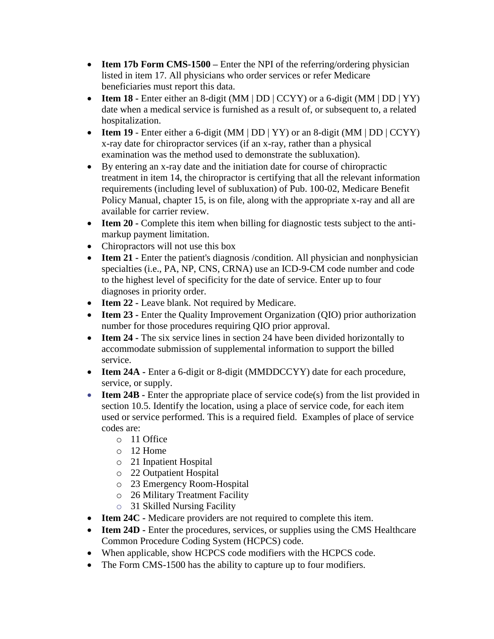- **Item 17b Form CMS-1500** Enter the NPI of the referring/ordering physician listed in item 17. All physicians who order services or refer Medicare beneficiaries must report this data.
- **Item 18** Enter either an 8-digit (MM | DD | CCYY) or a 6-digit (MM | DD | YY) date when a medical service is furnished as a result of, or subsequent to, a related hospitalization.
- **Item 19** Enter either a 6-digit (MM | DD | YY) or an 8-digit (MM | DD | CCYY) x-ray date for chiropractor services (if an x-ray, rather than a physical examination was the method used to demonstrate the subluxation).
- By entering an x-ray date and the initiation date for course of chiropractic treatment in item 14, the chiropractor is certifying that all the relevant information requirements (including level of subluxation) of Pub. 100-02, Medicare Benefit Policy Manual, chapter 15, is on file, along with the appropriate x-ray and all are available for carrier review.
- **Item 20 -** Complete this item when billing for diagnostic tests subject to the antimarkup payment limitation.
- Chiropractors will not use this box
- **Item 21 -** Enter the patient's diagnosis / condition. All physician and nonphysician specialties (i.e., PA, NP, CNS, CRNA) use an ICD-9-CM code number and code to the highest level of specificity for the date of service. Enter up to four diagnoses in priority order.
- **Item 22 -** Leave blank. Not required by Medicare.
- **Item 23 -** Enter the Quality Improvement Organization (QIO) prior authorization number for those procedures requiring QIO prior approval.
- **Item 24 -** The six service lines in section 24 have been divided horizontally to accommodate submission of supplemental information to support the billed service.
- **Item 24A -** Enter a 6-digit or 8-digit (MMDDCCYY) date for each procedure, service, or supply.
- **Item 24B** Enter the appropriate place of service code(s) from the list provided in section 10.5. Identify the location, using a place of service code, for each item used or service performed. This is a required field. Examples of place of service codes are:
	- o 11 Office
	- o 12 Home
	- o 21 Inpatient Hospital
	- o 22 Outpatient Hospital
	- o 23 Emergency Room-Hospital
	- o 26 Military Treatment Facility
	- o 31 Skilled Nursing Facility
- **Item 24C -** Medicare providers are not required to complete this item.
- **Item 24D -** Enter the procedures, services, or supplies using the CMS Healthcare Common Procedure Coding System (HCPCS) code.
- When applicable, show HCPCS code modifiers with the HCPCS code.
- The Form CMS-1500 has the ability to capture up to four modifiers.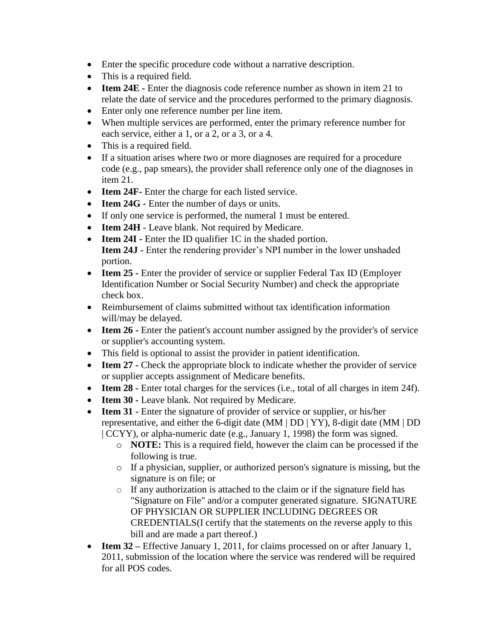- Enter the specific procedure code without a narrative description.
- This is a required field.
- **Item 24E** Enter the diagnosis code reference number as shown in item 21 to relate the date of service and the procedures performed to the primary diagnosis.
- Enter only one reference number per line item.
- When multiple services are performed, enter the primary reference number for each service, either a 1, or a 2, or a 3, or a 4.
- This is a required field.
- If a situation arises where two or more diagnoses are required for a procedure code (e.g., pap smears), the provider shall reference only one of the diagnoses in item 21.
- **Item 24F-** Enter the charge for each listed service.
- **Item 24G** Enter the number of days or units.
- If only one service is performed, the numeral 1 must be entered.
- **Item 24H** Leave blank. Not required by Medicare.
- **Item 24I -** Enter the ID qualifier 1C in the shaded portion. **Item 24J -** Enter the rendering provider's NPI number in the lower unshaded portion.
- **Item 25** Enter the provider of service or supplier Federal Tax ID (Employer Identification Number or Social Security Number) and check the appropriate check box.
- Reimbursement of claims submitted without tax identification information will/may be delayed.
- **Item 26** Enter the patient's account number assigned by the provider's of service or supplier's accounting system.
- This field is optional to assist the provider in patient identification.
- **Item 27 -** Check the appropriate block to indicate whether the provider of service or supplier accepts assignment of Medicare benefits.
- **Item 28 -** Enter total charges for the services (i.e., total of all charges in item 24f).
- **Item 30 -** Leave blank. Not required by Medicare.
- **Item 31** Enter the signature of provider of service or supplier, or his/her representative, and either the 6-digit date (MM | DD | YY), 8-digit date (MM | DD | CCYY), or alpha-numeric date (e.g., January 1, 1998) the form was signed.
	- o **NOTE:** This is a required field, however the claim can be processed if the following is true.
	- o If a physician, supplier, or authorized person's signature is missing, but the signature is on file; or
	- o If any authorization is attached to the claim or if the signature field has "Signature on File" and/or a computer generated signature. SIGNATURE OF PHYSICIAN OR SUPPLIER INCLUDING DEGREES OR CREDENTIALS(I certify that the statements on the reverse apply to this bill and are made a part thereof.)
- **Item 32** Effective January 1, 2011, for claims processed on or after January 1, 2011, submission of the location where the service was rendered will be required for all POS codes.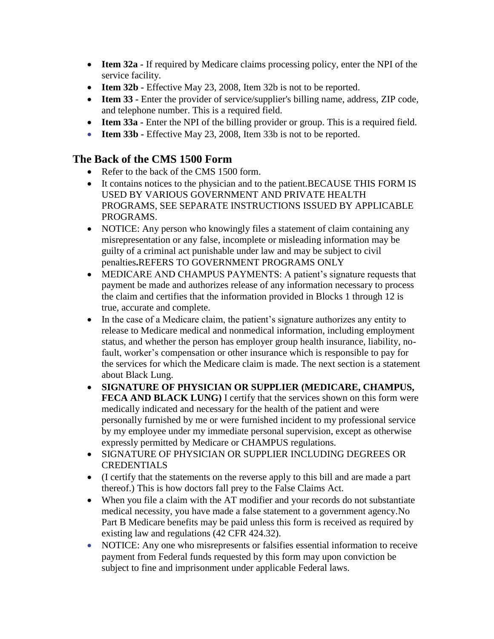- **Item 32a -** If required by Medicare claims processing policy, enter the NPI of the service facility.
- **Item 32b -** Effective May 23, 2008, Item 32b is not to be reported.
- **Item 33 -** Enter the provider of service/supplier's billing name, address, ZIP code, and telephone number. This is a required field.
- **Item 33a -** Enter the NPI of the billing provider or group. This is a required field.
- **Item 33b -** Effective May 23, 2008, Item 33b is not to be reported.

# **The Back of the CMS 1500 Form**

- Refer to the back of the CMS 1500 form.
- It contains notices to the physician and to the patient. BECAUSE THIS FORM IS USED BY VARIOUS GOVERNMENT AND PRIVATE HEALTH PROGRAMS, SEE SEPARATE INSTRUCTIONS ISSUED BY APPLICABLE PROGRAMS.
- NOTICE: Any person who knowingly files a statement of claim containing any misrepresentation or any false, incomplete or misleading information may be guilty of a criminal act punishable under law and may be subject to civil penalties**.**REFERS TO GOVERNMENT PROGRAMS ONLY
- MEDICARE AND CHAMPUS PAYMENTS: A patient's signature requests that payment be made and authorizes release of any information necessary to process the claim and certifies that the information provided in Blocks 1 through 12 is true, accurate and complete.
- In the case of a Medicare claim, the patient's signature authorizes any entity to release to Medicare medical and nonmedical information, including employment status, and whether the person has employer group health insurance, liability, nofault, worker's compensation or other insurance which is responsible to pay for the services for which the Medicare claim is made. The next section is a statement about Black Lung.
- **SIGNATURE OF PHYSICIAN OR SUPPLIER (MEDICARE, CHAMPUS, FECA AND BLACK LUNG)** I certify that the services shown on this form were medically indicated and necessary for the health of the patient and were personally furnished by me or were furnished incident to my professional service by my employee under my immediate personal supervision, except as otherwise expressly permitted by Medicare or CHAMPUS regulations.
- SIGNATURE OF PHYSICIAN OR SUPPLIER INCLUDING DEGREES OR **CREDENTIALS**
- (I certify that the statements on the reverse apply to this bill and are made a part thereof.) This is how doctors fall prey to the False Claims Act.
- When you file a claim with the AT modifier and your records do not substantiate medical necessity, you have made a false statement to a government agency.No Part B Medicare benefits may be paid unless this form is received as required by existing law and regulations (42 CFR 424.32).
- NOTICE: Any one who misrepresents or falsifies essential information to receive payment from Federal funds requested by this form may upon conviction be subject to fine and imprisonment under applicable Federal laws.